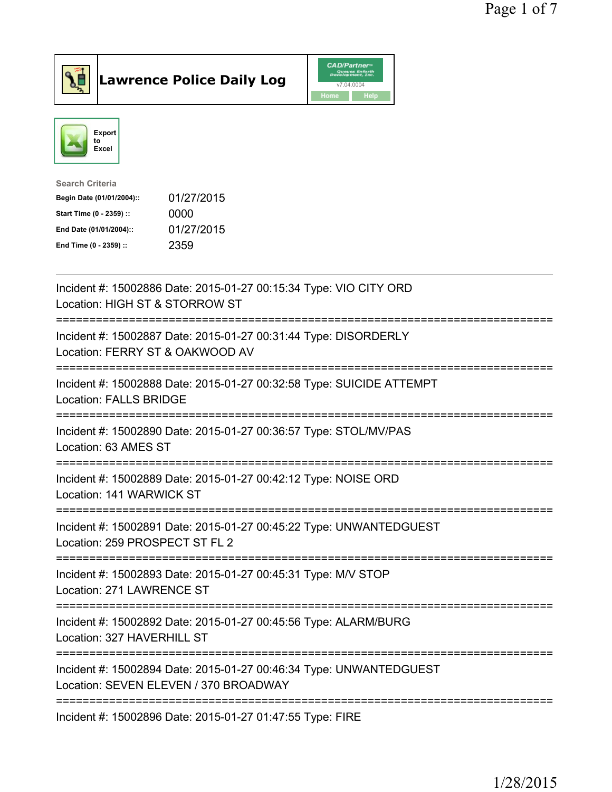



| <b>Search Criteria</b>    |            |
|---------------------------|------------|
| Begin Date (01/01/2004):: | 01/27/2015 |
| Start Time (0 - 2359) ::  | 0000       |
| End Date (01/01/2004)::   | 01/27/2015 |
| End Time (0 - 2359) ::    | 2359       |
|                           |            |

| Incident #: 15002886 Date: 2015-01-27 00:15:34 Type: VIO CITY ORD<br>Location: HIGH ST & STORROW ST                      |
|--------------------------------------------------------------------------------------------------------------------------|
| Incident #: 15002887 Date: 2015-01-27 00:31:44 Type: DISORDERLY<br>Location: FERRY ST & OAKWOOD AV<br>------------------ |
| Incident #: 15002888 Date: 2015-01-27 00:32:58 Type: SUICIDE ATTEMPT<br><b>Location: FALLS BRIDGE</b>                    |
| Incident #: 15002890 Date: 2015-01-27 00:36:57 Type: STOL/MV/PAS<br>Location: 63 AMES ST                                 |
| Incident #: 15002889 Date: 2015-01-27 00:42:12 Type: NOISE ORD<br>Location: 141 WARWICK ST<br>------------------         |
| Incident #: 15002891 Date: 2015-01-27 00:45:22 Type: UNWANTEDGUEST<br>Location: 259 PROSPECT ST FL 2                     |
| Incident #: 15002893 Date: 2015-01-27 00:45:31 Type: M/V STOP<br>Location: 271 LAWRENCE ST                               |
| Incident #: 15002892 Date: 2015-01-27 00:45:56 Type: ALARM/BURG<br>Location: 327 HAVERHILL ST                            |
| Incident #: 15002894 Date: 2015-01-27 00:46:34 Type: UNWANTEDGUEST<br>Location: SEVEN ELEVEN / 370 BROADWAY              |
| Incident #: 15002896 Date: 2015-01-27 01:47:55 Type: FIRE                                                                |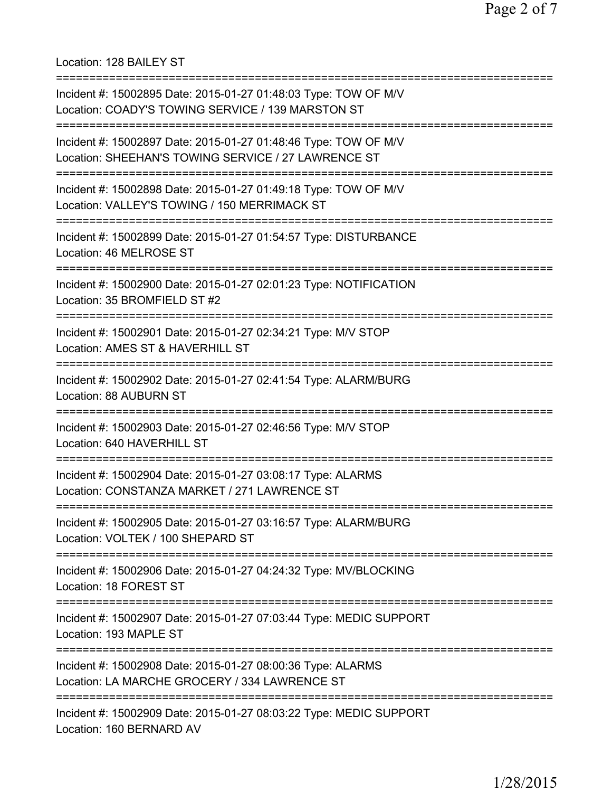Location: 128 BAILEY ST

| Incident #: 15002895 Date: 2015-01-27 01:48:03 Type: TOW OF M/V<br>Location: COADY'S TOWING SERVICE / 139 MARSTON ST                          |
|-----------------------------------------------------------------------------------------------------------------------------------------------|
| Incident #: 15002897 Date: 2015-01-27 01:48:46 Type: TOW OF M/V<br>Location: SHEEHAN'S TOWING SERVICE / 27 LAWRENCE ST                        |
| Incident #: 15002898 Date: 2015-01-27 01:49:18 Type: TOW OF M/V<br>Location: VALLEY'S TOWING / 150 MERRIMACK ST                               |
| Incident #: 15002899 Date: 2015-01-27 01:54:57 Type: DISTURBANCE<br>Location: 46 MELROSE ST                                                   |
| Incident #: 15002900 Date: 2015-01-27 02:01:23 Type: NOTIFICATION<br>Location: 35 BROMFIELD ST #2                                             |
| Incident #: 15002901 Date: 2015-01-27 02:34:21 Type: M/V STOP<br>Location: AMES ST & HAVERHILL ST                                             |
| Incident #: 15002902 Date: 2015-01-27 02:41:54 Type: ALARM/BURG<br><b>Location: 88 AUBURN ST</b>                                              |
| Incident #: 15002903 Date: 2015-01-27 02:46:56 Type: M/V STOP<br>Location: 640 HAVERHILL ST                                                   |
| ==============<br>Incident #: 15002904 Date: 2015-01-27 03:08:17 Type: ALARMS<br>Location: CONSTANZA MARKET / 271 LAWRENCE ST                 |
| Incident #: 15002905 Date: 2015-01-27 03:16:57 Type: ALARM/BURG<br>Location: VOLTEK / 100 SHEPARD ST                                          |
| Incident #: 15002906 Date: 2015-01-27 04:24:32 Type: MV/BLOCKING<br>Location: 18 FOREST ST                                                    |
| Incident #: 15002907 Date: 2015-01-27 07:03:44 Type: MEDIC SUPPORT<br>Location: 193 MAPLE ST                                                  |
| =============================<br>Incident #: 15002908 Date: 2015-01-27 08:00:36 Type: ALARMS<br>Location: LA MARCHE GROCERY / 334 LAWRENCE ST |
| Incident #: 15002909 Date: 2015-01-27 08:03:22 Type: MEDIC SUPPORT<br>Location: 160 BERNARD AV                                                |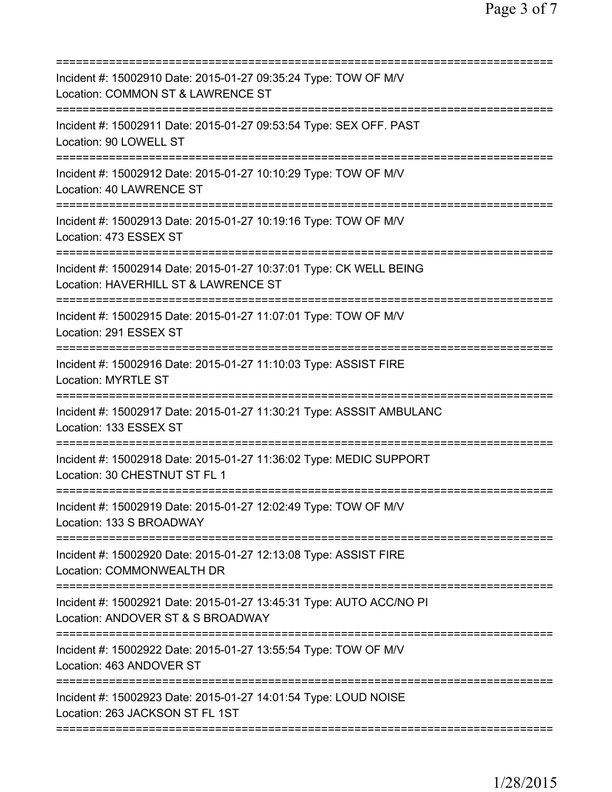| Incident #: 15002910 Date: 2015-01-27 09:35:24 Type: TOW OF M/V<br>Location: COMMON ST & LAWRENCE ST                                      |
|-------------------------------------------------------------------------------------------------------------------------------------------|
| Incident #: 15002911 Date: 2015-01-27 09:53:54 Type: SEX OFF. PAST<br>Location: 90 LOWELL ST                                              |
| Incident #: 15002912 Date: 2015-01-27 10:10:29 Type: TOW OF M/V<br>Location: 40 LAWRENCE ST                                               |
| Incident #: 15002913 Date: 2015-01-27 10:19:16 Type: TOW OF M/V<br>Location: 473 ESSEX ST                                                 |
| Incident #: 15002914 Date: 2015-01-27 10:37:01 Type: CK WELL BEING<br>Location: HAVERHILL ST & LAWRENCE ST                                |
| ============================<br>Incident #: 15002915 Date: 2015-01-27 11:07:01 Type: TOW OF M/V<br>Location: 291 ESSEX ST                 |
| Incident #: 15002916 Date: 2015-01-27 11:10:03 Type: ASSIST FIRE<br><b>Location: MYRTLE ST</b>                                            |
| Incident #: 15002917 Date: 2015-01-27 11:30:21 Type: ASSSIT AMBULANC<br>Location: 133 ESSEX ST                                            |
| Incident #: 15002918 Date: 2015-01-27 11:36:02 Type: MEDIC SUPPORT<br>Location: 30 CHESTNUT ST FL 1                                       |
| Incident #: 15002919 Date: 2015-01-27 12:02:49 Type: TOW OF M/V<br>Location: 133 S BROADWAY                                               |
| Incident #: 15002920 Date: 2015-01-27 12:13:08 Type: ASSIST FIRE<br>Location: COMMONWEALTH DR                                             |
| Incident #: 15002921 Date: 2015-01-27 13:45:31 Type: AUTO ACC/NO PI<br>Location: ANDOVER ST & S BROADWAY<br>============================= |
| Incident #: 15002922 Date: 2015-01-27 13:55:54 Type: TOW OF M/V<br>Location: 463 ANDOVER ST                                               |
| Incident #: 15002923 Date: 2015-01-27 14:01:54 Type: LOUD NOISE<br>Location: 263 JACKSON ST FL 1ST                                        |
|                                                                                                                                           |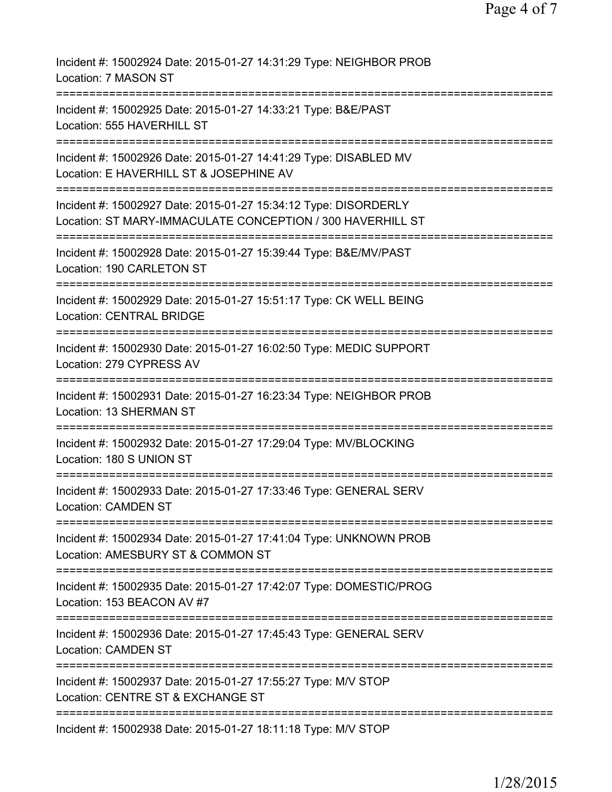Incident #: 15002924 Date: 2015-01-27 14:31:29 Type: NEIGHBOR PROB Location: 7 MASON ST =========================================================================== Incident #: 15002925 Date: 2015-01-27 14:33:21 Type: B&E/PAST Location: 555 HAVERHILL ST =========================================================================== Incident #: 15002926 Date: 2015-01-27 14:41:29 Type: DISABLED MV Location: E HAVERHILL ST & JOSEPHINE AV =========================================================================== Incident #: 15002927 Date: 2015-01-27 15:34:12 Type: DISORDERLY Location: ST MARY-IMMACULATE CONCEPTION / 300 HAVERHILL ST =========================================================================== Incident #: 15002928 Date: 2015-01-27 15:39:44 Type: B&E/MV/PAST Location: 190 CARLETON ST =========================================================================== Incident #: 15002929 Date: 2015-01-27 15:51:17 Type: CK WELL BEING Location: CENTRAL BRIDGE =========================================================================== Incident #: 15002930 Date: 2015-01-27 16:02:50 Type: MEDIC SUPPORT Location: 279 CYPRESS AV =========================================================================== Incident #: 15002931 Date: 2015-01-27 16:23:34 Type: NEIGHBOR PROB Location: 13 SHERMAN ST =========================================================================== Incident #: 15002932 Date: 2015-01-27 17:29:04 Type: MV/BLOCKING Location: 180 S UNION ST =========================================================================== Incident #: 15002933 Date: 2015-01-27 17:33:46 Type: GENERAL SERV Location: CAMDEN ST =========================================================================== Incident #: 15002934 Date: 2015-01-27 17:41:04 Type: UNKNOWN PROB Location: AMESBURY ST & COMMON ST =========================================================================== Incident #: 15002935 Date: 2015-01-27 17:42:07 Type: DOMESTIC/PROG Location: 153 BEACON AV #7 =========================================================================== Incident #: 15002936 Date: 2015-01-27 17:45:43 Type: GENERAL SERV Location: CAMDEN ST =========================================================================== Incident #: 15002937 Date: 2015-01-27 17:55:27 Type: M/V STOP Location: CENTRE ST & EXCHANGE ST =========================================================================== Incident #: 15002938 Date: 2015-01-27 18:11:18 Type: M/V STOP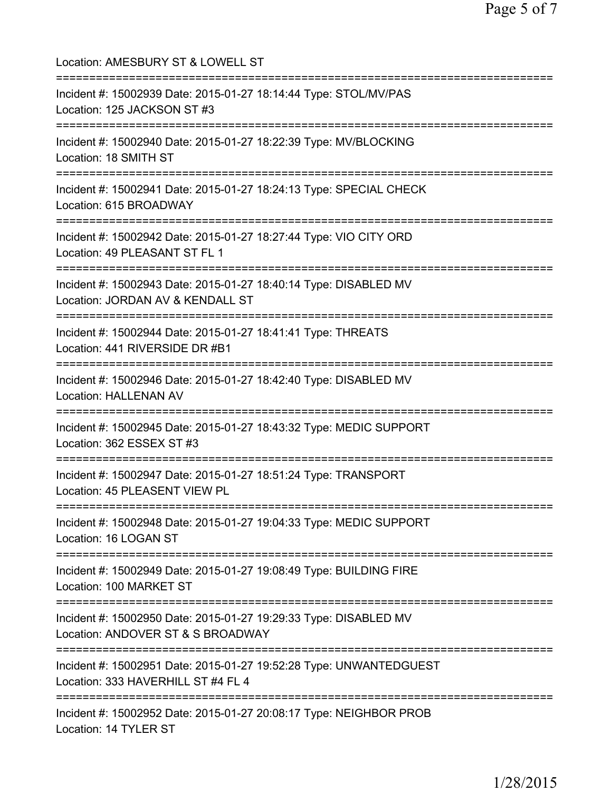Location: AMESBURY ST & LOWELL ST =========================================================================== Incident #: 15002939 Date: 2015-01-27 18:14:44 Type: STOL/MV/PAS Location: 125 JACKSON ST #3 =========================================================================== Incident #: 15002940 Date: 2015-01-27 18:22:39 Type: MV/BLOCKING Location: 18 SMITH ST =========================================================================== Incident #: 15002941 Date: 2015-01-27 18:24:13 Type: SPECIAL CHECK Location: 615 BROADWAY =========================================================================== Incident #: 15002942 Date: 2015-01-27 18:27:44 Type: VIO CITY ORD Location: 49 PLEASANT ST FL 1 =========================================================================== Incident #: 15002943 Date: 2015-01-27 18:40:14 Type: DISABLED MV Location: JORDAN AV & KENDALL ST =========================================================================== Incident #: 15002944 Date: 2015-01-27 18:41:41 Type: THREATS Location: 441 RIVERSIDE DR #B1 =========================================================================== Incident #: 15002946 Date: 2015-01-27 18:42:40 Type: DISABLED MV Location: HALLENAN AV =========================================================================== Incident #: 15002945 Date: 2015-01-27 18:43:32 Type: MEDIC SUPPORT Location: 362 ESSEX ST #3 =========================================================================== Incident #: 15002947 Date: 2015-01-27 18:51:24 Type: TRANSPORT Location: 45 PLEASENT VIEW PL =========================================================================== Incident #: 15002948 Date: 2015-01-27 19:04:33 Type: MEDIC SUPPORT Location: 16 LOGAN ST =========================================================================== Incident #: 15002949 Date: 2015-01-27 19:08:49 Type: BUILDING FIRE Location: 100 MARKET ST =========================================================================== Incident #: 15002950 Date: 2015-01-27 19:29:33 Type: DISABLED MV Location: ANDOVER ST & S BROADWAY =========================================================================== Incident #: 15002951 Date: 2015-01-27 19:52:28 Type: UNWANTEDGUEST Location: 333 HAVERHILL ST #4 FL 4 =========================================================================== Incident #: 15002952 Date: 2015-01-27 20:08:17 Type: NEIGHBOR PROB Location: 14 TYLER ST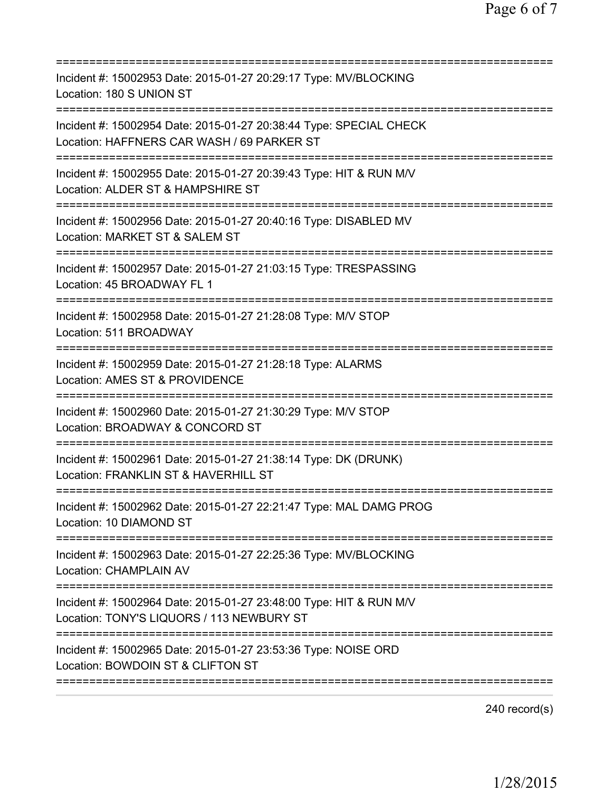| Incident #: 15002953 Date: 2015-01-27 20:29:17 Type: MV/BLOCKING<br>Location: 180 S UNION ST                                                              |
|-----------------------------------------------------------------------------------------------------------------------------------------------------------|
| Incident #: 15002954 Date: 2015-01-27 20:38:44 Type: SPECIAL CHECK<br>Location: HAFFNERS CAR WASH / 69 PARKER ST<br>===================================== |
| Incident #: 15002955 Date: 2015-01-27 20:39:43 Type: HIT & RUN M/V<br>Location: ALDER ST & HAMPSHIRE ST                                                   |
| Incident #: 15002956 Date: 2015-01-27 20:40:16 Type: DISABLED MV<br>Location: MARKET ST & SALEM ST                                                        |
| Incident #: 15002957 Date: 2015-01-27 21:03:15 Type: TRESPASSING<br>Location: 45 BROADWAY FL 1                                                            |
| Incident #: 15002958 Date: 2015-01-27 21:28:08 Type: M/V STOP<br>Location: 511 BROADWAY                                                                   |
| Incident #: 15002959 Date: 2015-01-27 21:28:18 Type: ALARMS<br>Location: AMES ST & PROVIDENCE<br>=======================                                  |
| Incident #: 15002960 Date: 2015-01-27 21:30:29 Type: M/V STOP<br>Location: BROADWAY & CONCORD ST                                                          |
| Incident #: 15002961 Date: 2015-01-27 21:38:14 Type: DK (DRUNK)<br>Location: FRANKLIN ST & HAVERHILL ST                                                   |
| Incident #: 15002962 Date: 2015-01-27 22:21:47 Type: MAL DAMG PROG<br>Location: 10 DIAMOND ST<br>;===============================                         |
| Incident #: 15002963 Date: 2015-01-27 22:25:36 Type: MV/BLOCKING<br><b>Location: CHAMPLAIN AV</b>                                                         |
| Incident #: 15002964 Date: 2015-01-27 23:48:00 Type: HIT & RUN M/V<br>Location: TONY'S LIQUORS / 113 NEWBURY ST                                           |
| Incident #: 15002965 Date: 2015-01-27 23:53:36 Type: NOISE ORD<br>Location: BOWDOIN ST & CLIFTON ST                                                       |
|                                                                                                                                                           |

240 record(s)